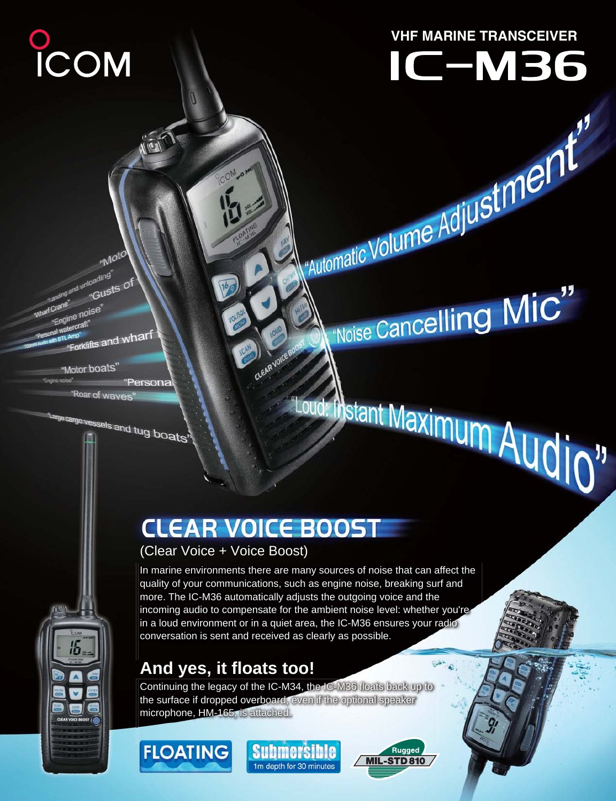# **VHF MARINE TRANSCEIVER**

# IC-M36

Automatic Volume Adjustment"

 $\mathcal{C}^\mathsf{noise}$  Cancelling  $\mathsf{MIC}''$ 

"Loud: Instant Maximum Audio"

crane"<br>"Engine noise"<br>"Engine noise" *raft* mp"<br>Forklifts and wharf "Motor boats"

"Moto

ad unloading' "Gusts of

f Crane

COM

Forme noise "Persona "Roar of wayes

<sup>ge cargo vessels and tug boats"</sup>

# **CLEAR VOICE BOOST**

CLEAR VOICE F

# (Clear Voice + Voice Boost)

In marine environments there are many sources of noise that can affect the quality of your communications, such as engine noise, breaking surf and more. The IC-M36 automatically adjusts the outgoing voice and the incoming audio to compensate for the ambient noise level: whether you're in a loud environment or in a quiet area, the IC-M36 ensures your radio conversation is sent and received as clearly as possible.

# **And yes, it floats too!**

Continuing the legacy of the IC-M34, the IC-M36 floats back up to the surface if dropped overboard, even if the optional speaker microphone, HM-165, is attached.